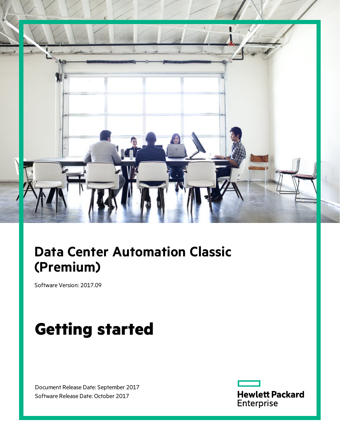

# **Data Center Automation Classic (Premium)**

Software Version: 2017.09

# **Getting started**

Document Release Date: September 2017 Software Release Date: October 2017

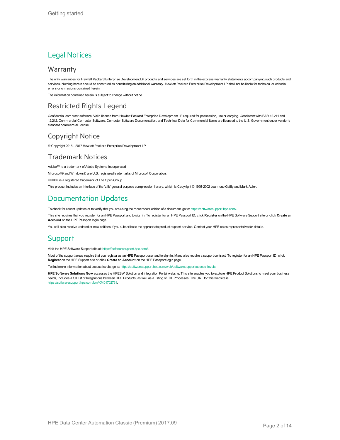#### Legal Notices

#### **Warranty**

The only warranties for Hewlett Packard Enterprise Development LP products and services are set forth in the express warranty statements accompanying such products and services. Nothing herein should be construed as constituting an additional warranty. Hewlett Packard Enterprise Development LP shall not be liable for technical or editorial errors or omissions contained herein.

The information contained herein is subject to change without notice.

#### Restricted Rights Legend

Confidential computer software. Valid license from Hewlett Packard Enterprise Development LP required for possession, use or copying. Consistent with FAR 12.211 and 12.212, Commercial Computer Software, Computer Software Documentation, and Technical Data for Commercial Items are licensed to the U.S. Government under vendor's standard commercial license.

#### Copyright Notice

© Copyright 2015 - 2017 Hewlett Packard Enterprise Development LP

#### Trademark Notices

Adobe™ is a trademark of Adobe Systems Incorporated.

Microsoft® and Windows® are U.S. registered trademarks of Microsoft Corporation.

UNIX® is a registered trademark of The Open Group.

This product includes an interface of the 'zlib' general purpose compression library, which is Copyright © 1995-2002 Jean-loup Gailly and Mark Adler.

#### Documentation Updates

To check for recent updates or to verify that you are using the most recent edition of a document, go to: <https://softwaresupport.hpe.com/>.

This site requires that you register for an HPE Passport and to sign in. To register for an HPE Passport ID, click **Register** on the HPE Software Support site or click **Create an Account** on the HPE Passport login page.

You will also receive updated or new editions if you subscribe to the appropriate product support service. Contact your HPE sales representative for details.

#### **Support**

Visit the HPE Software Support site at: <https://softwaresupport.hpe.com/>.

Most of the support areas require that you register as an HPE Passport user and to sign in. Many also require a support contract. To register for an HPE Passport ID, click **Register** on the HPE Support site or click **Create an Account** on the HPE Passport login page.

To find more information about access levels, go to: <https://softwaresupport.hpe.com/web/softwaresupport/access-levels>.

**HPE Software Solutions Now** accesses the HPESW Solution and Integration Portal website. This site enables you to explore HPE Product Solutions to meet your business needs, includes a full list of Integrations between HPE Products, as well as a listing of ITIL Processes. The URL for this website is [https://softwaresupport.hpe.com/km/KM01702731.](https://softwaresupport.hpe.com/km/KM01702731)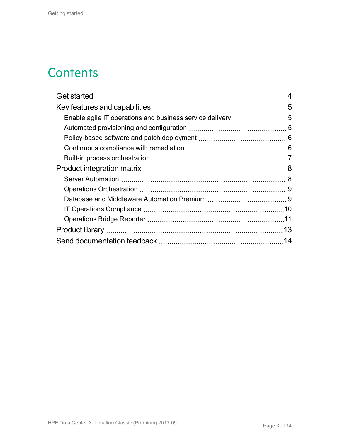## **Contents**

|  | 4  |
|--|----|
|  |    |
|  |    |
|  |    |
|  |    |
|  |    |
|  |    |
|  |    |
|  |    |
|  |    |
|  |    |
|  |    |
|  |    |
|  | 13 |
|  |    |
|  |    |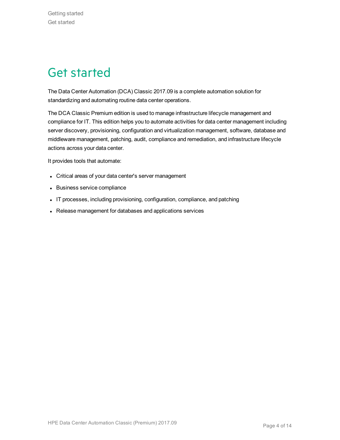# <span id="page-3-0"></span>Get started

The Data Center Automation (DCA) Classic 2017.09 is a complete automation solution for standardizing and automating routine data center operations.

The DCA Classic Premium edition is used to manage infrastructure lifecycle management and compliance for IT. This edition helps you to automate activities for data center management including server discovery, provisioning, configuration and virtualization management, software, database and middleware management, patching, audit, compliance and remediation, and infrastructure lifecycle actions across your data center.

It provides tools that automate:

- Critical areas of your data center's server management
- Business service compliance
- IT processes, including provisioning, configuration, compliance, and patching
- Release management for databases and applications services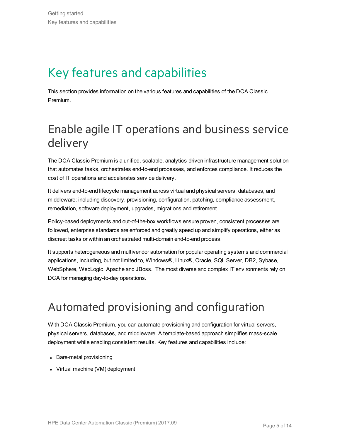# <span id="page-4-0"></span>Key features and capabilities

This section provides information on the various features and capabilities of the DCA Classic Premium.

### <span id="page-4-1"></span>Enable agile IT operations and business service delivery

The DCA Classic Premium is a unified, scalable, analytics-driven infrastructure management solution that automates tasks, orchestrates end-to-end processes, and enforces compliance. It reduces the cost of IT operations and accelerates service delivery.

It delivers end-to-end lifecycle management across virtual and physical servers, databases, and middleware; including discovery, provisioning, configuration, patching, compliance assessment, remediation, software deployment, upgrades, migrations and retirement.

Policy-based deployments and out-of-the-box workflows ensure proven, consistent processes are followed, enterprise standards are enforced and greatly speed up and simplify operations, either as discreet tasks or within an orchestrated multi-domain end-to-end process.

It supports heterogeneous and multivendor automation for popular operating systems and commercial applications, including, but not limited to, Windows®, Linux®, Oracle, SQL Server, DB2, Sybase, WebSphere, WebLogic, Apache and JBoss. The most diverse and complex IT environments rely on DCA for managing day-to-day operations.

### <span id="page-4-2"></span>Automated provisioning and configuration

With DCA Classic Premium, you can automate provisioning and configuration for virtual servers, physical servers, databases, and middleware. A template-based approach simplifies mass-scale deployment while enabling consistent results. Key features and capabilities include:

- Bare-metal provisioning
- Virtual machine (VM) deployment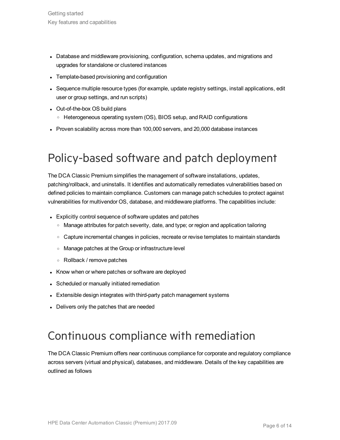- Database and middleware provisioning, configuration, schema updates, and migrations and upgrades for standalone or clustered instances
- Template-based provisioning and configuration
- Sequence multiple resource types (for example, update registry settings, install applications, edit user or group settings, and run scripts)
- Out-of-the-box OS build plans
	- <sup>o</sup> Heterogeneous operating system (OS), BIOS setup, and RAID configurations
- Proven scalability across more than 100,000 servers, and 20,000 database instances

## <span id="page-5-0"></span>Policy-based software and patch deployment

The DCA Classic Premium simplifies the management of software installations, updates, patching/rollback, and uninstalls. It identifies and automatically remediates vulnerabilities based on defined policies to maintain compliance. Customers can manage patch schedules to protect against vulnerabilities for multivendor OS, database, and middleware platforms. The capabilities include:

- Explicitly control sequence of software updates and patches
	- <sup>o</sup> Manage attributes for patch severity, date, and type; or region and application tailoring
	- Capture incremental changes in policies, recreate or revise templates to maintain standards
	- <sup>o</sup> Manage patches at the Group or infrastructure level
	- <sup>o</sup> Rollback / remove patches
- Know when or where patches or software are deployed
- Scheduled or manually initiated remediation
- Extensible design integrates with third-party patch management systems
- Delivers only the patches that are needed

### <span id="page-5-1"></span>Continuous compliance with remediation

The DCA Classic Premium offers near continuous compliance for corporate and regulatory compliance across servers (virtual and physical), databases, and middleware. Details of the key capabilities are outlined as follows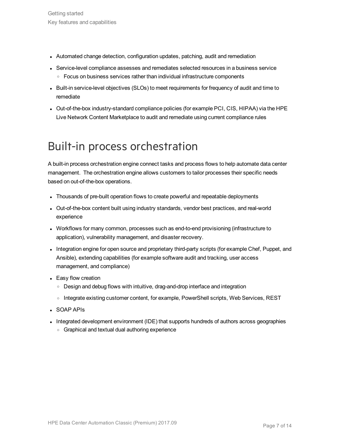- Automated change detection, configuration updates, patching, audit and remediation
- Service-level compliance assesses and remediates selected resources in a business service o Focus on business services rather than individual infrastructure components
- Built-in service-level objectives (SLOs) to meet requirements for frequency of audit and time to remediate
- Out-of-the-box industry-standard compliance policies (for example PCI, CIS, HIPAA) via the HPE Live Network Content Marketplace to audit and remediate using current compliance rules

### <span id="page-6-0"></span>Built-in process orchestration

A built-in process orchestration engine connect tasks and process flows to help automate data center management. The orchestration engine allows customers to tailor processes their specific needs based on out-of-the-box operations.

- Thousands of pre-built operation flows to create powerful and repeatable deployments
- <sup>l</sup> Out-of-the-box content built using industry standards, vendor best practices, and real-world experience
- Workflows for many common, processes such as end-to-end provisioning (infrastructure to application), vulnerability management, and disaster recovery.
- Integration engine for open source and proprietary third-party scripts (for example Chef, Puppet, and Ansible), extending capabilities (for example software audit and tracking, user access management, and compliance)
- Easy flow creation
	- Design and debug flows with intuitive, drag-and-drop interface and integration
	- o Integrate existing customer content, for example, PowerShell scripts, Web Services, REST
- SOAP APIs
- Integrated development environment (IDE) that supports hundreds of authors across geographies
	- o Graphical and textual dual authoring experience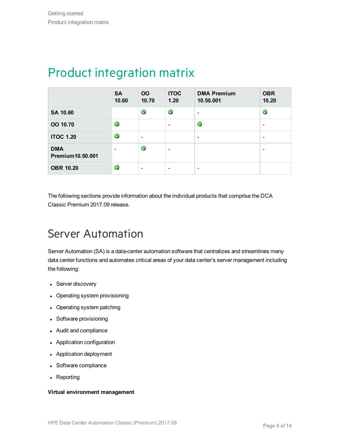|                                | <b>SA</b><br>10.60 | <b>OO</b><br>10.70           | <b>ITOC</b><br>1.20      | <b>DMA Premium</b><br>10.50.001 | <b>OBR</b><br>10.20      |
|--------------------------------|--------------------|------------------------------|--------------------------|---------------------------------|--------------------------|
| SA 10.60                       |                    | $\bullet$                    | $\bullet$                | -                               | $\bullet$                |
| OO 10.70                       | $\bullet$          |                              |                          | $\bullet$                       | $\overline{\phantom{a}}$ |
| <b>ITOC 1.20</b>               | $\bullet$          | $\overline{\phantom{a}}$     |                          | $\overline{\phantom{a}}$        | $\overline{\phantom{a}}$ |
| <b>DMA</b><br>Premium10.50.001 | $\qquad \qquad$    | $\bullet$                    | $\overline{\phantom{0}}$ |                                 | $\overline{\phantom{a}}$ |
| <b>OBR 10.20</b>               | $\bullet$          | $\qquad \qquad \blacksquare$ | $\overline{\phantom{0}}$ | $\overline{\phantom{0}}$        |                          |

## <span id="page-7-0"></span>Product integration matrix

The following sections provide information about the individual products that comprise the DCA Classic Premium 2017.09 release.

### <span id="page-7-1"></span>Server Automation

Server Automation (SA) is a data-center automation software that centralizes and streamlines many data center functions and automates critical areas of your data center's server management including the following:

- Server discovery
- Operating system provisioning
- Operating system patching
- Software provisioning
- Audit and compliance
- Application configuration
- Application deployment
- Software compliance
- Reporting

#### **Virtual environment management**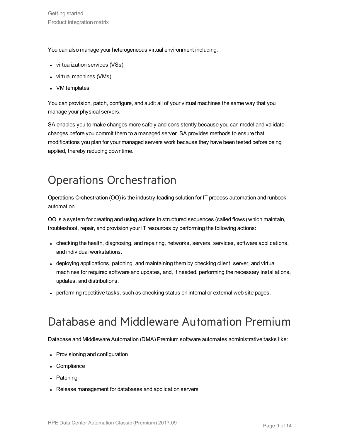You can also manage your heterogeneous virtual environment including:

- virtualization services (VSs)
- virtual machines (VMs)
- VM templates

You can provision, patch, configure, and audit all of your virtual machines the same way that you manage your physical servers.

SA enables you to make changes more safely and consistently because you can model and validate changes before you commit them to a managed server. SA provides methods to ensure that modifications you plan for your managed servers work because they have been tested before being applied, thereby reducing downtime.

## <span id="page-8-0"></span>Operations Orchestration

Operations Orchestration (OO) is the industry-leading solution for IT process automation and runbook automation.

OO is a system for creating and using actions in structured sequences (called flows) which maintain, troubleshoot, repair, and provision your IT resources by performing the following actions:

- checking the health, diagnosing, and repairing, networks, servers, services, software applications, and individual workstations.
- deploying applications, patching, and maintaining them by checking client, server, and virtual machines for required software and updates, and, if needed, performing the necessary installations, updates, and distributions.
- performing repetitive tasks, such as checking status on internal or external web site pages.

### <span id="page-8-1"></span>Database and Middleware Automation Premium

Database and Middleware Automation (DMA) Premium software automates administrative tasks like:

- Provisioning and configuration
- Compliance
- Patching
- Release management for databases and application servers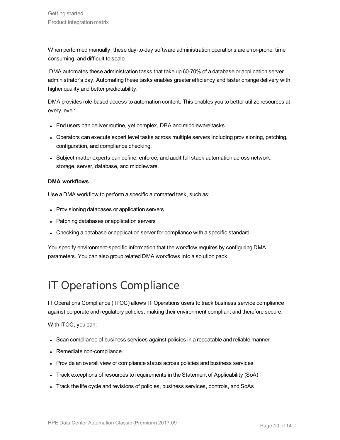When performed manually, these day-to-day software administration operations are error-prone, time consuming, and difficult to scale.

DMA automates these administration tasks that take up 60-70% of a database or application server administrator's day. Automating these tasks enables greater efficiency and faster change delivery with higher quality and better predictability.

DMA provides role-based access to automation content. This enables you to better utilize resources at every level:

- End users can deliver routine, yet complex, DBA and middleware tasks.
- Operators can execute expert level tasks across multiple servers including provisioning, patching, configuration, and compliance checking.
- <sup>l</sup> Subject matter experts can define, enforce, and audit full stack automation across network, storage, server, database, and middleware.

#### **DMA workflows**

Use a DMA workflow to perform a specific automated task, such as:

- Provisioning databases or application servers
- Patching databases or application servers
- Checking a database or application server for compliance with a specific standard

You specify environment-specific information that the workflow requires by configuring DMA parameters. You can also group related DMA workflows into a solution pack.

### <span id="page-9-0"></span>IT Operations Compliance

IT Operations Compliance ( ITOC) allows IT Operations users to track business service compliance against corporate and regulatory policies, making their environment compliant and therefore secure.

With ITOC, you can:

- Scan compliance of business services against policies in a repeatable and reliable manner
- Remediate non-compliance
- Provide an overall view of compliance status across policies and business services
- Track exceptions of resources to requirements in the Statement of Applicability (SoA)
- Track the life cycle and revisions of policies, business services, controls, and SoAs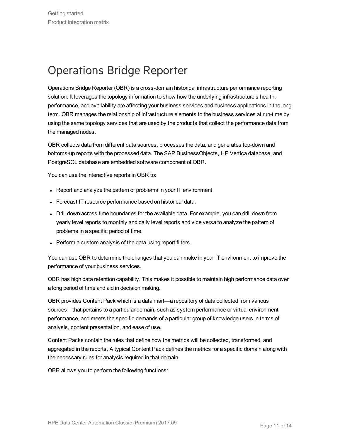## <span id="page-10-0"></span>Operations Bridge Reporter

Operations Bridge Reporter (OBR) is a cross-domain historical infrastructure performance reporting solution. It leverages the topology information to show how the underlying infrastructure's health, performance, and availability are affecting your business services and business applications in the long term. OBR manages the relationship of infrastructure elements to the business services at run-time by using the same topology services that are used by the products that collect the performance data from the managed nodes.

OBR collects data from different data sources, processes the data, and generates top-down and bottoms-up reports with the processed data. The SAP BusinessObjects, HP Vertica database, and PostgreSQL database are embedded software component of OBR.

You can use the interactive reports in OBR to:

- Report and analyze the pattern of problems in your IT environment.
- Forecast IT resource performance based on historical data.
- Drill down across time boundaries for the available data. For example, you can drill down from yearly level reports to monthly and daily level reports and vice versa to analyze the pattern of problems in a specific period of time.
- Perform a custom analysis of the data using report filters.

You can use OBR to determine the changes that you can make in your IT environment to improve the performance of your business services.

OBR has high data retention capability. This makes it possible to maintain high performance data over a long period of time and aid in decision making.

OBR provides Content Pack which is a data mart—a repository of data collected from various sources—that pertains to a particular domain, such as system performance or virtual environment performance, and meets the specific demands of a particular group of knowledge users in terms of analysis, content presentation, and ease of use.

Content Packs contain the rules that define how the metrics will be collected, transformed, and aggregated in the reports. A typical Content Pack defines the metrics for a specific domain along with the necessary rules for analysis required in that domain.

OBR allows you to perform the following functions: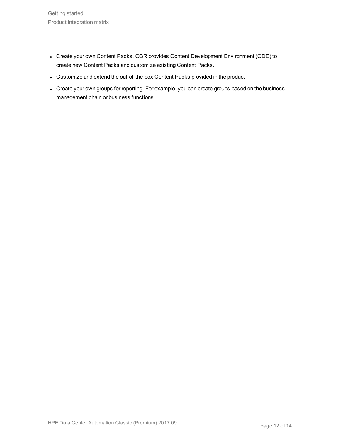- Create your own Content Packs. OBR provides Content Development Environment (CDE) to create new Content Packs and customize existing Content Packs.
- Customize and extend the out-of-the-box Content Packs provided in the product.
- Create your own groups for reporting. For example, you can create groups based on the business management chain or business functions.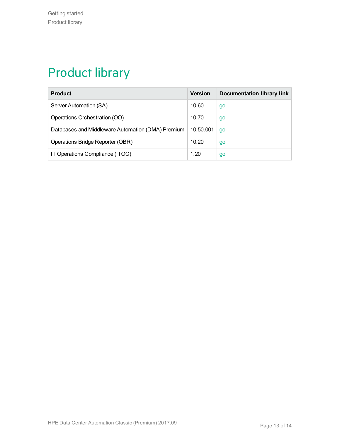# <span id="page-12-0"></span>Product library

| <b>Product</b>                                    | <b>Version</b> | <b>Documentation library link</b> |
|---------------------------------------------------|----------------|-----------------------------------|
| Server Automation (SA)                            | 10.60          | go                                |
| Operations Orchestration (OO)                     | 10.70          | go                                |
| Databases and Middleware Automation (DMA) Premium | 10.50.001      | go                                |
| Operations Bridge Reporter (OBR)                  | 10.20          | go                                |
| IT Operations Compliance (ITOC)                   | 1.20           | go                                |